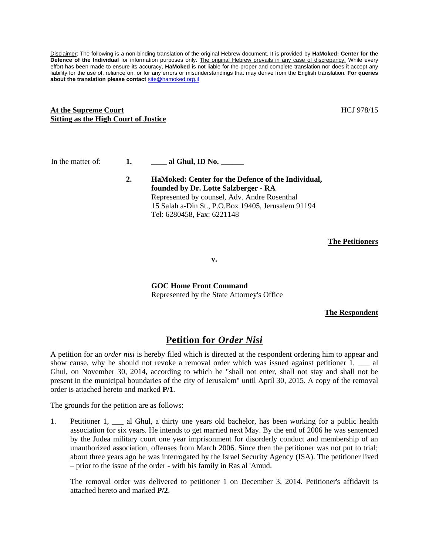Disclaimer: The following is a non-binding translation of the original Hebrew document. It is provided by **HaMoked: Center for the**  Defence of the Individual for information purposes only. The original Hebrew prevails in any case of discrepancy. While every effort has been made to ensure its accuracy, **HaMoked** is not liable for the proper and complete translation nor does it accept any liability for the use of, reliance on, or for any errors or misunderstandings that may derive from the English translation. **For queries about the translation please contact** [site@hamoked.org.il](mailto:site@hamoked.org.il)

## **At the Supreme Court Sitting as the High Court of Justice**

In the matter of: **1. \_\_\_\_ al Ghul, ID No. \_\_\_\_\_\_**

**2. HaMoked: Center for the Defence of the Individual, founded by Dr. Lotte Salzberger - RA** Represented by counsel, Adv. Andre Rosenthal 15 Salah a-Din St., P.O.Box 19405, Jerusalem 91194 Tel: 6280458, Fax: 6221148

**The Petitioners**

**v.**

**GOC Home Front Command** Represented by the State Attorney's Office

**The Respondent**

# **Petition for** *Order Nisi*

A petition for an *order nisi* is hereby filed which is directed at the respondent ordering him to appear and show cause, why he should not revoke a removal order which was issued against petitioner 1, all Ghul, on November 30, 2014, according to which he "shall not enter, shall not stay and shall not be present in the municipal boundaries of the city of Jerusalem" until April 30, 2015. A copy of the removal order is attached hereto and marked **P/1**.

The grounds for the petition are as follows:

1. Petitioner 1, \_\_\_ al Ghul, a thirty one years old bachelor, has been working for a public health association for six years. He intends to get married next May. By the end of 2006 he was sentenced by the Judea military court one year imprisonment for disorderly conduct and membership of an unauthorized association, offenses from March 2006. Since then the petitioner was not put to trial; about three years ago he was interrogated by the Israel Security Agency (ISA). The petitioner lived – prior to the issue of the order - with his family in Ras al 'Amud.

The removal order was delivered to petitioner 1 on December 3, 2014. Petitioner's affidavit is attached hereto and marked **P/2**.

HCJ 978/15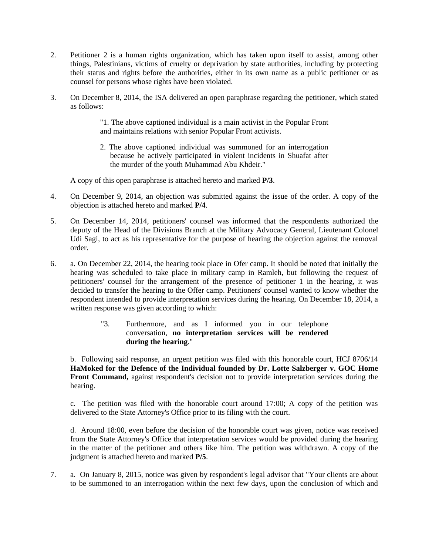- 2. Petitioner 2 is a human rights organization, which has taken upon itself to assist, among other things, Palestinians, victims of cruelty or deprivation by state authorities, including by protecting their status and rights before the authorities, either in its own name as a public petitioner or as counsel for persons whose rights have been violated.
- 3. On December 8, 2014, the ISA delivered an open paraphrase regarding the petitioner, which stated as follows:

"1. The above captioned individual is a main activist in the Popular Front and maintains relations with senior Popular Front activists.

2. The above captioned individual was summoned for an interrogation because he actively participated in violent incidents in Shuafat after the murder of the youth Muhammad Abu Khdeir."

A copy of this open paraphrase is attached hereto and marked **P/3**.

- 4. On December 9, 2014, an objection was submitted against the issue of the order. A copy of the objection is attached hereto and marked **P/4**.
- 5. On December 14, 2014, petitioners' counsel was informed that the respondents authorized the deputy of the Head of the Divisions Branch at the Military Advocacy General, Lieutenant Colonel Udi Sagi, to act as his representative for the purpose of hearing the objection against the removal order.
- 6. a. On December 22, 2014, the hearing took place in Ofer camp. It should be noted that initially the hearing was scheduled to take place in military camp in Ramleh, but following the request of petitioners' counsel for the arrangement of the presence of petitioner 1 in the hearing, it was decided to transfer the hearing to the Offer camp. Petitioners' counsel wanted to know whether the respondent intended to provide interpretation services during the hearing. On December 18, 2014, a written response was given according to which:
	- "3. Furthermore, and as I informed you in our telephone conversation, **no interpretation services will be rendered during the hearing**."

b. Following said response, an urgent petition was filed with this honorable court, HCJ 8706/14 **HaMoked for the Defence of the Individual founded by Dr. Lotte Salzberger v. GOC Home**  Front Command, against respondent's decision not to provide interpretation services during the hearing.

c. The petition was filed with the honorable court around 17:00; A copy of the petition was delivered to the State Attorney's Office prior to its filing with the court.

d. Around 18:00, even before the decision of the honorable court was given, notice was received from the State Attorney's Office that interpretation services would be provided during the hearing in the matter of the petitioner and others like him. The petition was withdrawn. A copy of the judgment is attached hereto and marked **P/5**.

7. a. On January 8, 2015, notice was given by respondent's legal advisor that "Your clients are about to be summoned to an interrogation within the next few days, upon the conclusion of which and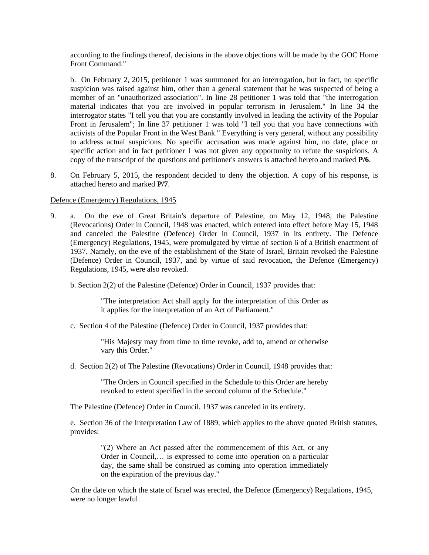according to the findings thereof, decisions in the above objections will be made by the GOC Home Front Command."

b. On February 2, 2015, petitioner 1 was summoned for an interrogation, but in fact, no specific suspicion was raised against him, other than a general statement that he was suspected of being a member of an "unauthorized association". In line 28 petitioner 1 was told that "the interrogation material indicates that you are involved in popular terrorism in Jerusalem." In line 34 the interrogator states "I tell you that you are constantly involved in leading the activity of the Popular Front in Jerusalem"; In line 37 petitioner 1 was told "I tell you that you have connections with activists of the Popular Front in the West Bank." Everything is very general, without any possibility to address actual suspicions. No specific accusation was made against him, no date, place or specific action and in fact petitioner 1 was not given any opportunity to refute the suspicions. A copy of the transcript of the questions and petitioner's answers is attached hereto and marked **P/6**.

8. On February 5, 2015, the respondent decided to deny the objection. A copy of his response, is attached hereto and marked **P/7**.

#### Defence (Emergency) Regulations, 1945

- 9. a. On the eve of Great Britain's departure of Palestine, on May 12, 1948, the Palestine (Revocations) Order in Council, 1948 was enacted, which entered into effect before May 15, 1948 and canceled the Palestine (Defence) Order in Council, 1937 in its entirety. The Defence (Emergency) Regulations, 1945, were promulgated by virtue of section 6 of a British enactment of 1937. Namely, on the eve of the establishment of the State of Israel, Britain revoked the Palestine (Defence) Order in Council, 1937, and by virtue of said revocation, the Defence (Emergency) Regulations, 1945, were also revoked.
	- b. Section 2(2) of the Palestine (Defence) Order in Council, 1937 provides that:

"The interpretation Act shall apply for the interpretation of this Order as it applies for the interpretation of an Act of Parliament."

c. Section 4 of the Palestine (Defence) Order in Council, 1937 provides that:

"His Majesty may from time to time revoke, add to, amend or otherwise vary this Order."

d. Section 2(2) of The Palestine (Revocations) Order in Council, 1948 provides that:

"The Orders in Council specified in the Schedule to this Order are hereby revoked to extent specified in the second column of the Schedule."

The Palestine (Defence) Order in Council, 1937 was canceled in its entirety.

e. Section 36 of the Interpretation Law of 1889, which applies to the above quoted British statutes, provides:

"(2) Where an Act passed after the commencement of this Act, or any Order in Council,… is expressed to come into operation on a particular day, the same shall be construed as coming into operation immediately on the expiration of the previous day."

On the date on which the state of Israel was erected, the Defence (Emergency) Regulations, 1945, were no longer lawful.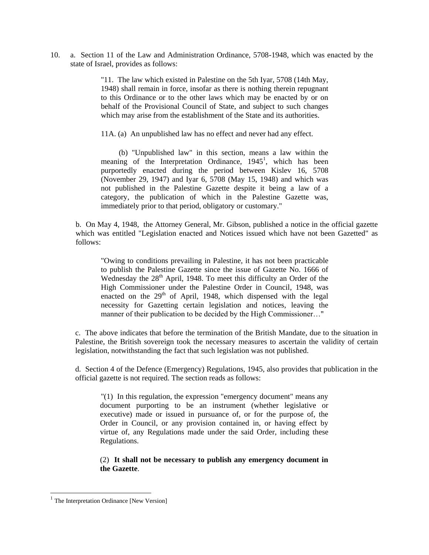10. a. Section 11 of the Law and Administration Ordinance, 5708-1948, which was enacted by the state of Israel, provides as follows:

> "11. The law which existed in Palestine on the 5th Iyar, 5708 (14th May, 1948) shall remain in force, insofar as there is nothing therein repugnant to this Ordinance or to the other laws which may be enacted by or on behalf of the Provisional Council of State, and subject to such changes which may arise from the establishment of the State and its authorities.

11A. (a) An unpublished law has no effect and never had any effect.

(b) "Unpublished law" in this section, means a law within the meaning of the Interpretation Ordinance, 1945<sup>1</sup>, which has been purportedly enacted during the period between Kislev 16, 5708 (November 29, 1947) and Iyar 6, 5708 (May 15, 1948) and which was not published in the Palestine Gazette despite it being a law of a category, the publication of which in the Palestine Gazette was, immediately prior to that period, obligatory or customary."

b. On May 4, 1948, the Attorney General, Mr. Gibson, published a notice in the official gazette which was entitled "Legislation enacted and Notices issued which have not been Gazetted" as follows:

"Owing to conditions prevailing in Palestine, it has not been practicable to publish the Palestine Gazette since the issue of Gazette No. 1666 of Wednesday the  $28<sup>th</sup>$  April, 1948. To meet this difficulty an Order of the High Commissioner under the Palestine Order in Council, 1948, was enacted on the  $29<sup>th</sup>$  of April, 1948, which dispensed with the legal necessity for Gazetting certain legislation and notices, leaving the manner of their publication to be decided by the High Commissioner…"

c. The above indicates that before the termination of the British Mandate, due to the situation in Palestine, the British sovereign took the necessary measures to ascertain the validity of certain legislation, notwithstanding the fact that such legislation was not published.

d. Section 4 of the Defence (Emergency) Regulations, 1945, also provides that publication in the official gazette is not required. The section reads as follows:

"(1) In this regulation, the expression "emergency document" means any document purporting to be an instrument (whether legislative or executive) made or issued in pursuance of, or for the purpose of, the Order in Council, or any provision contained in, or having effect by virtue of, any Regulations made under the said Order, including these Regulations.

(2) **It shall not be necessary to publish any emergency document in the Gazette**.

l

<sup>&</sup>lt;sup>1</sup> The Interpretation Ordinance [New Version]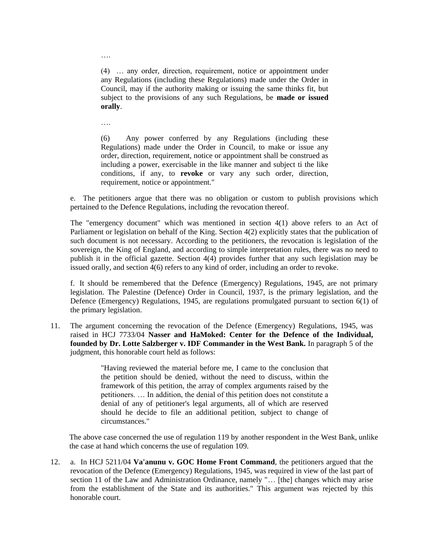(4) … any order, direction, requirement, notice or appointment under any Regulations (including these Regulations) made under the Order in Council, may if the authority making or issuing the same thinks fit, but subject to the provisions of any such Regulations, be **made or issued orally**.

….

….

(6) Any power conferred by any Regulations (including these Regulations) made under the Order in Council, to make or issue any order, direction, requirement, notice or appointment shall be construed as including a power, exercisable in the like manner and subject ti the like conditions, if any, to **revoke** or vary any such order, direction, requirement, notice or appointment."

e. The petitioners argue that there was no obligation or custom to publish provisions which pertained to the Defence Regulations, including the revocation thereof.

The "emergency document" which was mentioned in section 4(1) above refers to an Act of Parliament or legislation on behalf of the King. Section 4(2) explicitly states that the publication of such document is not necessary. According to the petitioners, the revocation is legislation of the sovereign, the King of England, and according to simple interpretation rules, there was no need to publish it in the official gazette. Section 4(4) provides further that any such legislation may be issued orally, and section 4(6) refers to any kind of order, including an order to revoke.

f. It should be remembered that the Defence (Emergency) Regulations, 1945, are not primary legislation. The Palestine (Defence) Order in Council, 1937, is the primary legislation, and the Defence (Emergency) Regulations, 1945, are regulations promulgated pursuant to section 6(1) of the primary legislation.

11. The argument concerning the revocation of the Defence (Emergency) Regulations, 1945, was raised in HCJ 7733/04 **Nasser and HaMoked: Center for the Defence of the Individual, founded by Dr. Lotte Salzberger v. IDF Commander in the West Bank.** In paragraph 5 of the judgment, this honorable court held as follows:

> "Having reviewed the material before me, I came to the conclusion that the petition should be denied, without the need to discuss, within the framework of this petition, the array of complex arguments raised by the petitioners. … In addition, the denial of this petition does not constitute a denial of any of petitioner's legal arguments, all of which are reserved should he decide to file an additional petition, subject to change of circumstances."

The above case concerned the use of regulation 119 by another respondent in the West Bank, unlike the case at hand which concerns the use of regulation 109.

12. a. In HCJ 5211/04 **Va'anunu v. GOC Home Front Command**, the petitioners argued that the revocation of the Defence (Emergency) Regulations, 1945, was required in view of the last part of section 11 of the Law and Administration Ordinance, namely "... [the] changes which may arise from the establishment of the State and its authorities." This argument was rejected by this honorable court.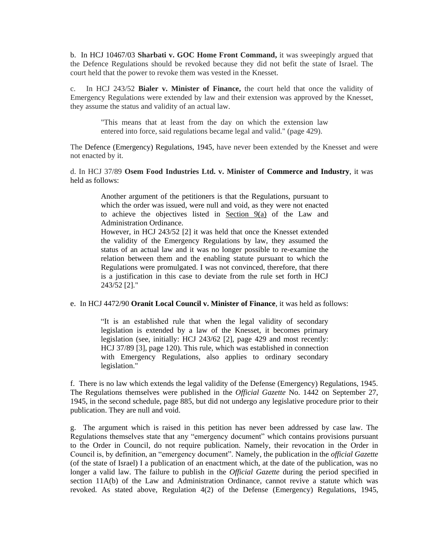b. In HCJ 10467/03 **Sharbati v. GOC Home Front Command,** it was sweepingly argued that the Defence Regulations should be revoked because they did not befit the state of Israel. The court held that the power to revoke them was vested in the Knesset.

c. In HCJ 243/52 **Bialer v. Minister of Finance,** the court held that once the validity of Emergency Regulations were extended by law and their extension was approved by the Knesset, they assume the status and validity of an actual law.

"This means that at least from the day on which the extension law entered into force, said regulations became legal and valid." (page 429).

The Defence (Emergency) Regulations, 1945, have never been extended by the Knesset and were not enacted by it.

d. In HCJ 37/89 **Osem Food Industries Ltd. v. Minister of Commerce and Industry**, it was held as follows:

> Another argument of the petitioners is that the Regulations, pursuant to which the order was issued, were null and void, as they were not enacted to achieve the objectives listed in Section 9(a) of the Law and Administration Ordinance.

> However, in HCJ 243/52 [2] it was held that once the Knesset extended the validity of the Emergency Regulations by law, they assumed the status of an actual law and it was no longer possible to re-examine the relation between them and the enabling statute pursuant to which the Regulations were promulgated. I was not convinced, therefore, that there is a justification in this case to deviate from the rule set forth in HCJ 243/52 [2]."

#### e. In HCJ 4472/90 **Oranit Local Council v. Minister of Finance**, it was held as follows:

"It is an established rule that when the legal validity of secondary legislation is extended by a law of the Knesset, it becomes primary legislation (see, initially: HCJ 243/62 [2], page 429 and most recently: HCJ 37/89 [3], page 120). This rule, which was established in connection with Emergency Regulations, also applies to ordinary secondary legislation."

f. There is no law which extends the legal validity of the Defense (Emergency) Regulations, 1945. The Regulations themselves were published in the *Official Gazette* No. 1442 on September 27, 1945, in the second schedule, page 885, but did not undergo any legislative procedure prior to their publication. They are null and void.

g. The argument which is raised in this petition has never been addressed by case law. The Regulations themselves state that any "emergency document" which contains provisions pursuant to the Order in Council, do not require publication. Namely, their revocation in the Order in Council is, by definition, an "emergency document". Namely, the publication in the *official Gazette* (of the state of Israel) I a publication of an enactment which, at the date of the publication, was no longer a valid law. The failure to publish in the *Official Gazette* during the period specified in section 11A(b) of the Law and Administration Ordinance, cannot revive a statute which was revoked. As stated above, Regulation 4(2) of the Defense (Emergency) Regulations, 1945,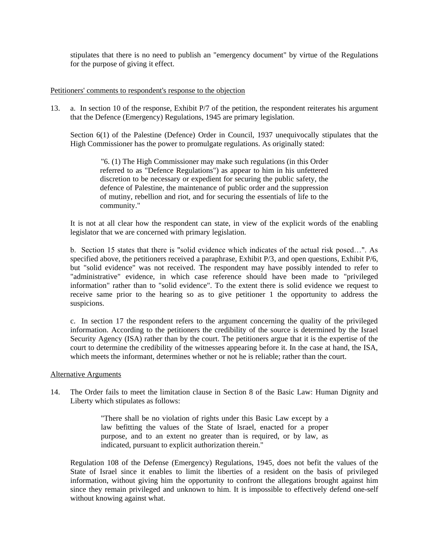stipulates that there is no need to publish an "emergency document" by virtue of the Regulations for the purpose of giving it effect.

# Petitioners' comments to respondent's response to the objection

13. a. In section 10 of the response, Exhibit P/7 of the petition, the respondent reiterates his argument that the Defence (Emergency) Regulations, 1945 are primary legislation.

Section 6(1) of the Palestine (Defence) Order in Council, 1937 unequivocally stipulates that the High Commissioner has the power to promulgate regulations. As originally stated:

"6. (1) The High Commissioner may make such regulations (in this Order referred to as "Defence Regulations") as appear to him in his unfettered discretion to be necessary or expedient for securing the public safety, the defence of Palestine, the maintenance of public order and the suppression of mutiny, rebellion and riot, and for securing the essentials of life to the community."

It is not at all clear how the respondent can state, in view of the explicit words of the enabling legislator that we are concerned with primary legislation.

b. Section 15 states that there is "solid evidence which indicates of the actual risk posed…". As specified above, the petitioners received a paraphrase, Exhibit P/3, and open questions, Exhibit P/6, but "solid evidence" was not received. The respondent may have possibly intended to refer to "administrative" evidence, in which case reference should have been made to "privileged information" rather than to "solid evidence". To the extent there is solid evidence we request to receive same prior to the hearing so as to give petitioner 1 the opportunity to address the suspicions.

c. In section 17 the respondent refers to the argument concerning the quality of the privileged information. According to the petitioners the credibility of the source is determined by the Israel Security Agency (ISA) rather than by the court. The petitioners argue that it is the expertise of the court to determine the credibility of the witnesses appearing before it. In the case at hand, the ISA, which meets the informant, determines whether or not he is reliable; rather than the court.

## Alternative Arguments

14. The Order fails to meet the limitation clause in Section 8 of the Basic Law: Human Dignity and Liberty which stipulates as follows:

> "There shall be no violation of rights under this Basic Law except by a law befitting the values of the State of Israel, enacted for a proper purpose, and to an extent no greater than is required, or by law, as indicated, pursuant to explicit authorization therein."

Regulation 108 of the Defense (Emergency) Regulations, 1945, does not befit the values of the State of Israel since it enables to limit the liberties of a resident on the basis of privileged information, without giving him the opportunity to confront the allegations brought against him since they remain privileged and unknown to him. It is impossible to effectively defend one-self without knowing against what.